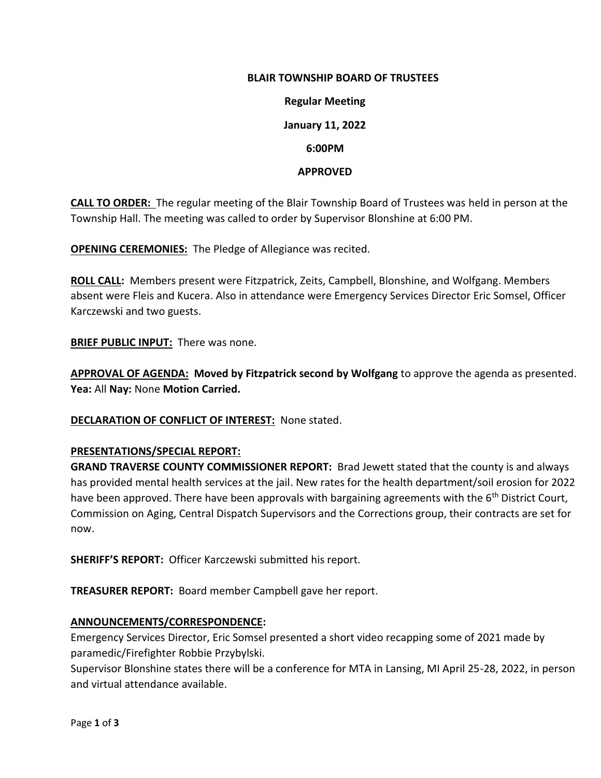# **BLAIR TOWNSHIP BOARD OF TRUSTEES**

**Regular Meeting January 11, 2022 6:00PM**

#### **APPROVED**

**CALL TO ORDER:** The regular meeting of the Blair Township Board of Trustees was held in person at the Township Hall. The meeting was called to order by Supervisor Blonshine at 6:00 PM.

**OPENING CEREMONIES:** The Pledge of Allegiance was recited.

**ROLL CALL:** Members present were Fitzpatrick, Zeits, Campbell, Blonshine, and Wolfgang. Members absent were Fleis and Kucera. Also in attendance were Emergency Services Director Eric Somsel, Officer Karczewski and two guests.

**BRIEF PUBLIC INPUT:** There was none.

**APPROVAL OF AGENDA: Moved by Fitzpatrick second by Wolfgang** to approve the agenda as presented. **Yea:** All **Nay:** None **Motion Carried.**

**DECLARATION OF CONFLICT OF INTEREST:** None stated.

### **PRESENTATIONS/SPECIAL REPORT:**

**GRAND TRAVERSE COUNTY COMMISSIONER REPORT:** Brad Jewett stated that the county is and always has provided mental health services at the jail. New rates for the health department/soil erosion for 2022 have been approved. There have been approvals with bargaining agreements with the 6<sup>th</sup> District Court, Commission on Aging, Central Dispatch Supervisors and the Corrections group, their contracts are set for now.

**SHERIFF'S REPORT:** Officer Karczewski submitted his report.

**TREASURER REPORT:** Board member Campbell gave her report.

#### **ANNOUNCEMENTS/CORRESPONDENCE:**

Emergency Services Director, Eric Somsel presented a short video recapping some of 2021 made by paramedic/Firefighter Robbie Przybylski.

Supervisor Blonshine states there will be a conference for MTA in Lansing, MI April 25-28, 2022, in person and virtual attendance available.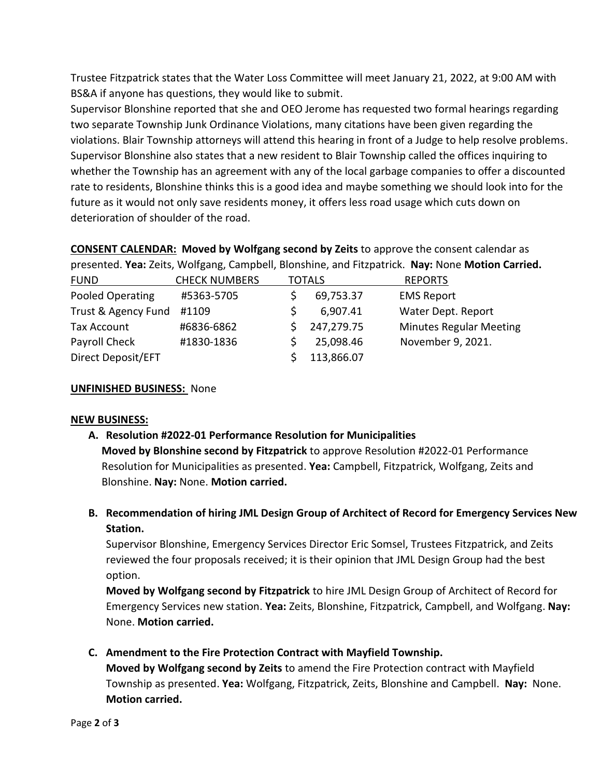Trustee Fitzpatrick states that the Water Loss Committee will meet January 21, 2022, at 9:00 AM with BS&A if anyone has questions, they would like to submit.

Supervisor Blonshine reported that she and OEO Jerome has requested two formal hearings regarding two separate Township Junk Ordinance Violations, many citations have been given regarding the violations. Blair Township attorneys will attend this hearing in front of a Judge to help resolve problems. Supervisor Blonshine also states that a new resident to Blair Township called the offices inquiring to whether the Township has an agreement with any of the local garbage companies to offer a discounted rate to residents, Blonshine thinks this is a good idea and maybe something we should look into for the future as it would not only save residents money, it offers less road usage which cuts down on deterioration of shoulder of the road.

**CONSENT CALENDAR: Moved by Wolfgang second by Zeits** to approve the consent calendar as presented. **Yea:** Zeits, Wolfgang, Campbell, Blonshine, and Fitzpatrick. **Nay:** None **Motion Carried.**

| <b>FUND</b>         | <b>CHECK NUMBERS</b> | <b>TOTALS</b> |            | <b>REPORTS</b>                 |
|---------------------|----------------------|---------------|------------|--------------------------------|
| Pooled Operating    | #5363-5705           |               | 69,753.37  | <b>EMS Report</b>              |
| Trust & Agency Fund | #1109                |               | 6,907.41   | Water Dept. Report             |
| Tax Account         | #6836-6862           |               | 247,279.75 | <b>Minutes Regular Meeting</b> |
| Payroll Check       | #1830-1836           |               | 25,098.46  | November 9, 2021.              |
| Direct Deposit/EFT  |                      |               | 113,866.07 |                                |

## **UNFINISHED BUSINESS:** None

### **NEW BUSINESS:**

- **A. Resolution #2022-01 Performance Resolution for Municipalities Moved by Blonshine second by Fitzpatrick** to approve Resolution #2022-01 Performance Resolution for Municipalities as presented. **Yea:** Campbell, Fitzpatrick, Wolfgang, Zeits and Blonshine. **Nay:** None. **Motion carried.**
- **B. Recommendation of hiring JML Design Group of Architect of Record for Emergency Services New Station.**

Supervisor Blonshine, Emergency Services Director Eric Somsel, Trustees Fitzpatrick, and Zeits reviewed the four proposals received; it is their opinion that JML Design Group had the best option.

**Moved by Wolfgang second by Fitzpatrick** to hire JML Design Group of Architect of Record for Emergency Services new station. **Yea:** Zeits, Blonshine, Fitzpatrick, Campbell, and Wolfgang. **Nay:**  None. **Motion carried.** 

**C. Amendment to the Fire Protection Contract with Mayfield Township.**

**Moved by Wolfgang second by Zeits** to amend the Fire Protection contract with Mayfield Township as presented. **Yea:** Wolfgang, Fitzpatrick, Zeits, Blonshine and Campbell. **Nay:** None. **Motion carried.**